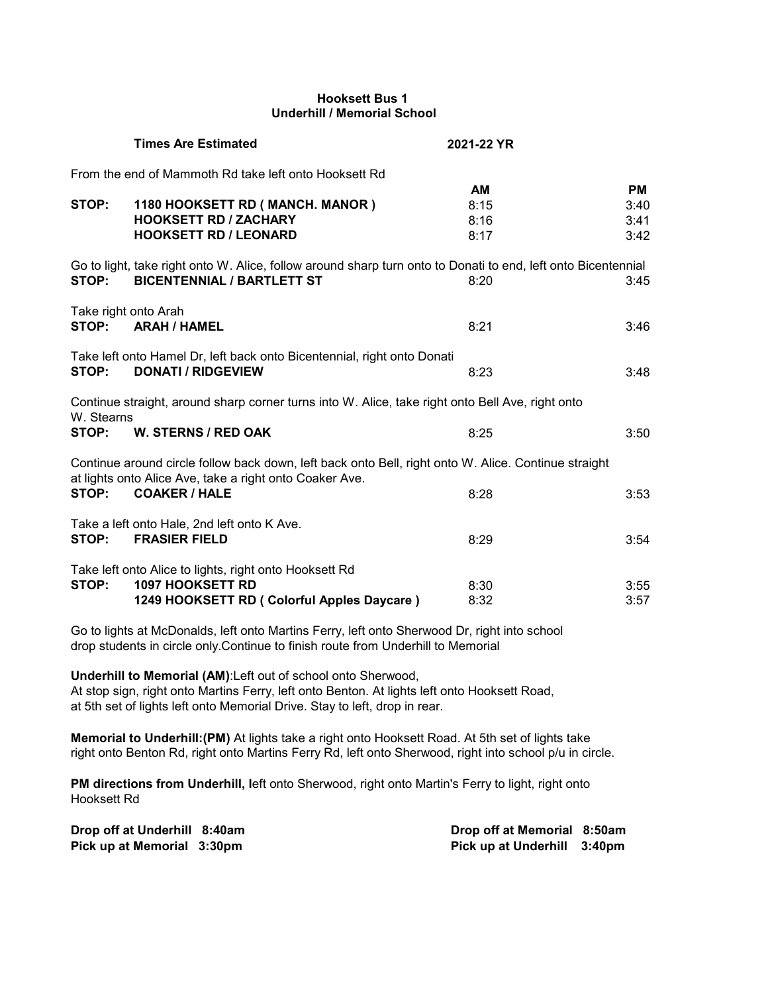#### **Hooksett Bus 1 Underhill / Memorial School**

**Times Are Estimated 2021-22 YR**

|                               | From the end of Mammoth Rd take left onto Hooksett Rd                                                                                              |                                   |                                   |
|-------------------------------|----------------------------------------------------------------------------------------------------------------------------------------------------|-----------------------------------|-----------------------------------|
| STOP:                         | 1180 HOOKSETT RD (MANCH. MANOR)<br><b>HOOKSETT RD / ZACHARY</b><br><b>HOOKSETT RD / LEONARD</b>                                                    | <b>AM</b><br>8:15<br>8:16<br>8:17 | <b>PM</b><br>3:40<br>3:41<br>3:42 |
| STOP:                         | Go to light, take right onto W. Alice, follow around sharp turn onto to Donati to end, left onto Bicentennial<br><b>BICENTENNIAL / BARTLETT ST</b> | 8:20                              | 3:45                              |
| Take right onto Arah<br>STOP: | <b>ARAH / HAMEL</b>                                                                                                                                | 8:21                              | 3:46                              |
| STOP:                         | Take left onto Hamel Dr, left back onto Bicentennial, right onto Donati<br><b>DONATI / RIDGEVIEW</b>                                               | 8:23                              | 3:48                              |
|                               | Continue straight, around sharp corner turns into W. Alice, take right onto Bell Ave, right onto                                                   |                                   |                                   |
| W. Stearns<br>STOP:           | <b>W. STERNS / RED OAK</b>                                                                                                                         | 8:25                              | 3:50                              |
|                               | Continue around circle follow back down, left back onto Bell, right onto W. Alice. Continue straight                                               |                                   |                                   |
| STOP:                         | at lights onto Alice Ave, take a right onto Coaker Ave.<br><b>COAKER / HALE</b>                                                                    | 8:28                              | 3:53                              |
| STOP:                         | Take a left onto Hale, 2nd left onto K Ave.<br><b>FRASIER FIELD</b>                                                                                | 8:29                              | 3:54                              |
| STOP:                         | Take left onto Alice to lights, right onto Hooksett Rd<br><b>1097 HOOKSETT RD</b><br>1249 HOOKSETT RD ( Colorful Apples Daycare )                  | 8:30<br>8:32                      | 3:55<br>3:57                      |
|                               |                                                                                                                                                    |                                   |                                   |

Go to lights at McDonalds, left onto Martins Ferry, left onto Sherwood Dr, right into school drop students in circle only.Continue to finish route from Underhill to Memorial

**Underhill to Memorial (AM)**:Left out of school onto Sherwood, At stop sign, right onto Martins Ferry, left onto Benton. At lights left onto Hooksett Road, at 5th set of lights left onto Memorial Drive. Stay to left, drop in rear.

**Memorial to Underhill:(PM)** At lights take a right onto Hooksett Road. At 5th set of lights take right onto Benton Rd, right onto Martins Ferry Rd, left onto Sherwood, right into school p/u in circle.

**PM directions from Underhill, l**eft onto Sherwood, right onto Martin's Ferry to light, right onto Hooksett Rd

| Drop off at Underhill 8:40am | Drop off at Memorial 8:50am |  |
|------------------------------|-----------------------------|--|
| Pick up at Memorial 3:30pm   | Pick up at Underhill 3:40pm |  |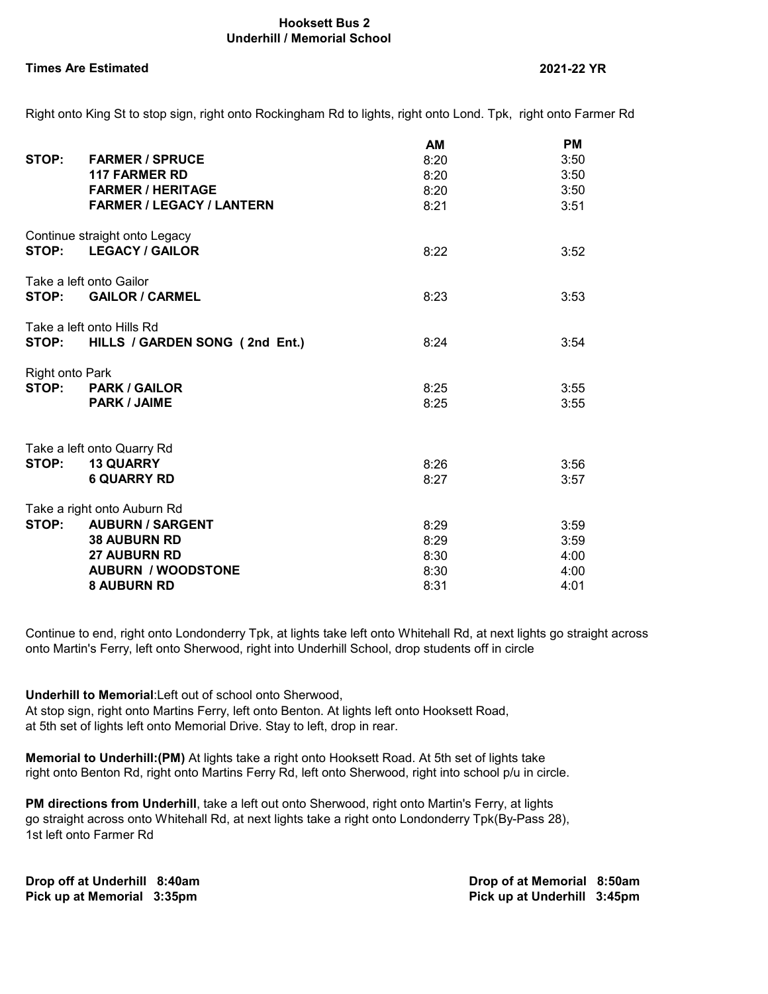### **Hooksett Bus 2 Underhill / Memorial School**

# **Times Are Estimated 2021-22 YR**

Right onto King St to stop sign, right onto Rockingham Rd to lights, right onto Lond. Tpk, right onto Farmer Rd

|                        |                                      | <b>AM</b> | <b>PM</b> |
|------------------------|--------------------------------------|-----------|-----------|
| STOP:                  | <b>FARMER / SPRUCE</b>               | 8:20      | 3:50      |
|                        | <b>117 FARMER RD</b>                 | 8:20      | 3:50      |
|                        | <b>FARMER / HERITAGE</b>             | 8:20      | 3:50      |
|                        | <b>FARMER / LEGACY / LANTERN</b>     | 8:21      | 3:51      |
|                        | Continue straight onto Legacy        |           |           |
| STOP:                  | <b>LEGACY / GAILOR</b>               | 8:22      | 3:52      |
|                        | Take a left onto Gailor              |           |           |
| STOP:                  | <b>GAILOR / CARMEL</b>               | 8:23      | 3:53      |
|                        | Take a left onto Hills Rd            |           |           |
|                        | STOP: HILLS / GARDEN SONG (2nd Ent.) | 8:24      | 3:54      |
| <b>Right onto Park</b> |                                      |           |           |
| STOP:                  | <b>PARK / GAILOR</b>                 | 8:25      | 3:55      |
|                        | <b>PARK / JAIME</b>                  | 8:25      | 3:55      |
|                        |                                      |           |           |
|                        | Take a left onto Quarry Rd           |           |           |
| STOP:                  | <b>13 QUARRY</b>                     | 8:26      | 3:56      |
|                        | <b>6 QUARRY RD</b>                   | 8:27      | 3:57      |
|                        | Take a right onto Auburn Rd          |           |           |
| STOP:                  | <b>AUBURN / SARGENT</b>              | 8:29      | 3:59      |
|                        | <b>38 AUBURN RD</b>                  | 8:29      | 3:59      |
|                        | 27 AUBURN RD                         | 8:30      | 4:00      |
|                        | <b>AUBURN / WOODSTONE</b>            | 8:30      | 4:00      |
|                        | <b>8 AUBURN RD</b>                   | 8:31      | 4:01      |

Continue to end, right onto Londonderry Tpk, at lights take left onto Whitehall Rd, at next lights go straight across onto Martin's Ferry, left onto Sherwood, right into Underhill School, drop students off in circle

**Underhill to Memorial**:Left out of school onto Sherwood,

At stop sign, right onto Martins Ferry, left onto Benton. At lights left onto Hooksett Road, at 5th set of lights left onto Memorial Drive. Stay to left, drop in rear.

**Memorial to Underhill:(PM)** At lights take a right onto Hooksett Road. At 5th set of lights take right onto Benton Rd, right onto Martins Ferry Rd, left onto Sherwood, right into school p/u in circle.

**PM directions from Underhill**, take a left out onto Sherwood, right onto Martin's Ferry, at lights go straight across onto Whitehall Rd, at next lights take a right onto Londonderry Tpk(By-Pass 28), 1st left onto Farmer Rd

**Drop off at Underhill 8:40am Drop of at Memorial 8:50am Pick up at Memorial 3:35pm Pick up at Underhill 3:45pm**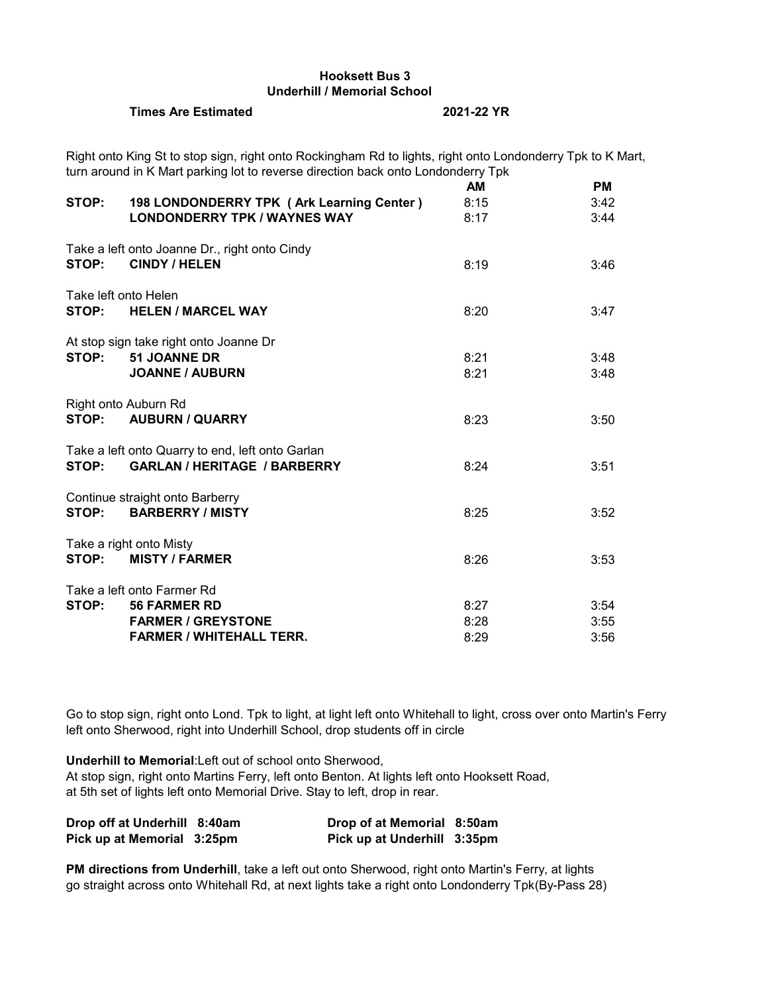# **Hooksett Bus 3 Underhill / Memorial School**

Right onto King St to stop sign, right onto Rockingham Rd to lights, right onto Londonderry Tpk to K Mart,

# **Times Are Estimated 2021-22 YR**

|       | turn around in K Mart parking lot to reverse direction back onto Londonderry Tpk |           |           |
|-------|----------------------------------------------------------------------------------|-----------|-----------|
|       |                                                                                  | <b>AM</b> | <b>PM</b> |
| STOP: | 198 LONDONDERRY TPK (Ark Learning Center)                                        | 8:15      | 3:42      |
|       | <b>LONDONDERRY TPK / WAYNES WAY</b>                                              | 8:17      | 3:44      |
|       | Take a left onto Joanne Dr., right onto Cindy                                    |           |           |
| STOP: | <b>CINDY / HELEN</b>                                                             | 8:19      | 3:46      |
|       | Take left onto Helen                                                             |           |           |
| STOP: | <b>HELEN / MARCEL WAY</b>                                                        | 8:20      | 3:47      |
|       | At stop sign take right onto Joanne Dr                                           |           |           |
|       | STOP: 51 JOANNE DR                                                               | 8:21      | 3:48      |
|       | <b>JOANNE / AUBURN</b>                                                           | 8:21      | 3:48      |
|       | Right onto Auburn Rd                                                             |           |           |
|       | STOP: AUBURN / QUARRY                                                            | 8:23      | 3:50      |
|       | Take a left onto Quarry to end, left onto Garlan                                 |           |           |
|       | STOP: GARLAN / HERITAGE / BARBERRY                                               | 8:24      | 3:51      |
|       | Continue straight onto Barberry                                                  |           |           |
| STOP: | <b>BARBERRY / MISTY</b>                                                          | 8:25      | 3:52      |
|       | Take a right onto Misty                                                          |           |           |
|       | STOP: MISTY/FARMER                                                               | 8:26      | 3:53      |
|       | Take a left onto Farmer Rd                                                       |           |           |
| STOP: | <b>56 FARMER RD</b>                                                              | 8:27      | 3:54      |
|       | <b>FARMER / GREYSTONE</b>                                                        | 8:28      | 3:55      |
|       | <b>FARMER / WHITEHALL TERR.</b>                                                  | 8:29      | 3:56      |

Go to stop sign, right onto Lond. Tpk to light, at light left onto Whitehall to light, cross over onto Martin's Ferry left onto Sherwood, right into Underhill School, drop students off in circle

**Underhill to Memorial**:Left out of school onto Sherwood, At stop sign, right onto Martins Ferry, left onto Benton. At lights left onto Hooksett Road, at 5th set of lights left onto Memorial Drive. Stay to left, drop in rear.

| Drop off at Underhill 8:40am | Drop of at Memorial 8:50am  |  |
|------------------------------|-----------------------------|--|
| Pick up at Memorial 3:25pm   | Pick up at Underhill 3:35pm |  |

**PM directions from Underhill**, take a left out onto Sherwood, right onto Martin's Ferry, at lights go straight across onto Whitehall Rd, at next lights take a right onto Londonderry Tpk(By-Pass 28)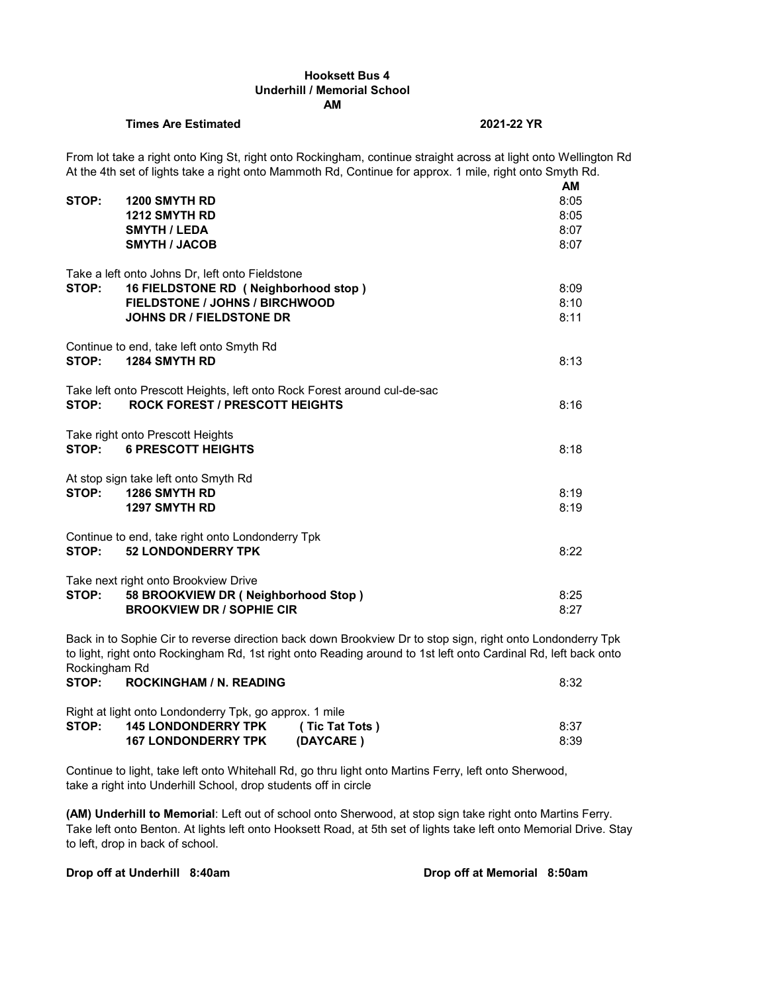#### **Hooksett Bus 4 Underhill / Memorial School AM**

#### **Times Are Estimated 2021-22 YR**

**AM**

From lot take a right onto King St, right onto Rockingham, continue straight across at light onto Wellington Rd At the 4th set of lights take a right onto Mammoth Rd, Continue for approx. 1 mile, right onto Smyth Rd.

| STOP: | <b>1200 SMYTH RD</b><br><b>1212 SMYTH RD</b><br><b>SMYTH / LEDA</b><br><b>SMYTH / JACOB</b>                                                                         | 8:05<br>8:05<br>8:07<br>8:07 |
|-------|---------------------------------------------------------------------------------------------------------------------------------------------------------------------|------------------------------|
| STOP: | Take a left onto Johns Dr, left onto Fieldstone<br>16 FIELDSTONE RD (Neighborhood stop)<br><b>FIELDSTONE / JOHNS / BIRCHWOOD</b><br><b>JOHNS DR / FIELDSTONE DR</b> | 8:09<br>8:10<br>8:11         |
| STOP: | Continue to end, take left onto Smyth Rd<br><b>1284 SMYTH RD</b>                                                                                                    | 8:13                         |
| STOP: | Take left onto Prescott Heights, left onto Rock Forest around cul-de-sac<br><b>ROCK FOREST / PRESCOTT HEIGHTS</b>                                                   | 8:16                         |
|       | Take right onto Prescott Heights<br>STOP: 6 PRESCOTT HEIGHTS                                                                                                        | 8:18                         |
| STOP: | At stop sign take left onto Smyth Rd<br><b>1286 SMYTH RD</b><br><b>1297 SMYTH RD</b>                                                                                | 8:19<br>8:19                 |
| STOP: | Continue to end, take right onto Londonderry Tpk<br><b>52 LONDONDERRY TPK</b>                                                                                       | 8:22                         |
| STOP: | Take next right onto Brookview Drive<br>58 BROOKVIEW DR (Neighborhood Stop)<br><b>BROOKVIEW DR / SOPHIE CIR</b>                                                     | 8:25<br>8:27                 |

Back in to Sophie Cir to reverse direction back down Brookview Dr to stop sign, right onto Londonderry Tpk to light, right onto Rockingham Rd, 1st right onto Reading around to 1st left onto Cardinal Rd, left back onto Rockingham Rd

| STOP: | <b>ROCKINGHAM / N. READING</b>                         |                | 8:32 |
|-------|--------------------------------------------------------|----------------|------|
|       | Right at light onto Londonderry Tpk, go approx. 1 mile |                |      |
| STOP: | <b>145 LONDONDERRY TPK</b>                             | (Tic Tat Tots) | 8:37 |
|       | <b>167 LONDONDERRY TPK</b>                             | (DAYCARE)      | 8:39 |

Continue to light, take left onto Whitehall Rd, go thru light onto Martins Ferry, left onto Sherwood, take a right into Underhill School, drop students off in circle

**(AM) Underhill to Memorial**: Left out of school onto Sherwood, at stop sign take right onto Martins Ferry. Take left onto Benton. At lights left onto Hooksett Road, at 5th set of lights take left onto Memorial Drive. Stay to left, drop in back of school.

**Drop off at Underhill 8:40am Drop off at Memorial 8:50am**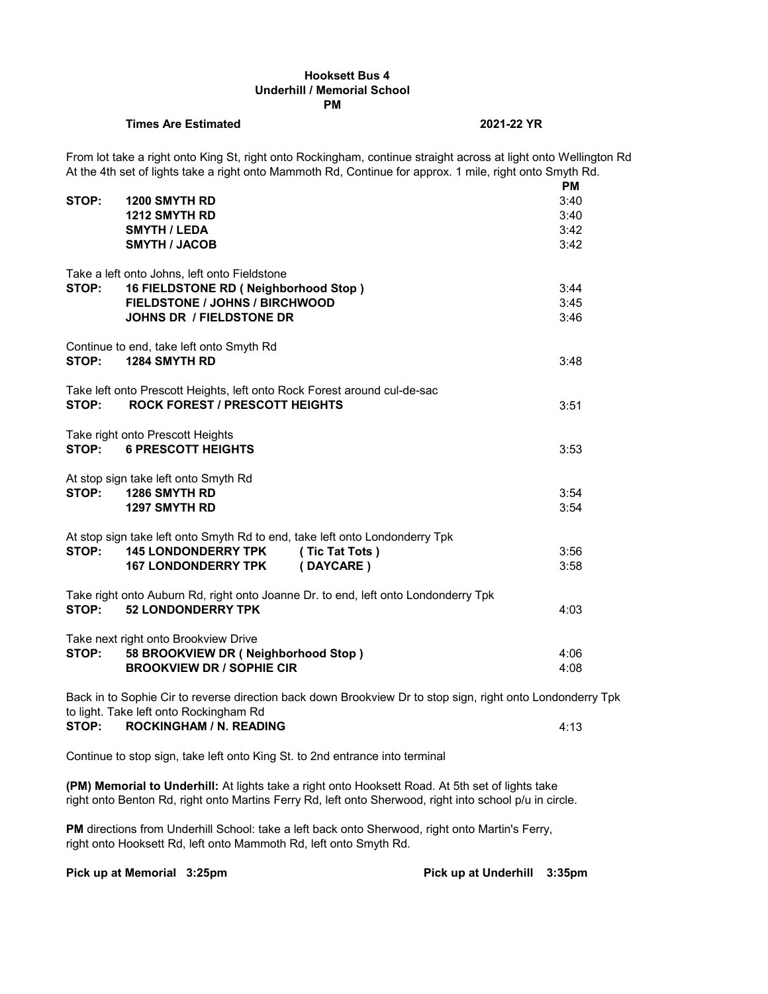#### **Hooksett Bus 4 Underhill / Memorial School PM**

# **Times Are Estimated 2021-22 YR**

From lot take a right onto King St, right onto Rockingham, continue straight across at light onto Wellington Rd At the 4th set of lights take a right onto Mammoth Rd, Continue for approx. 1 mile, right onto Smyth Rd. **PM**

|       |                                                                                                            | <b>PM</b> |
|-------|------------------------------------------------------------------------------------------------------------|-----------|
| STOP: | 1200 SMYTH RD                                                                                              | 3:40      |
|       | <b>1212 SMYTH RD</b>                                                                                       | 3:40      |
|       | <b>SMYTH / LEDA</b>                                                                                        | 3:42      |
|       | <b>SMYTH / JACOB</b>                                                                                       | 3:42      |
|       |                                                                                                            |           |
|       | Take a left onto Johns, left onto Fieldstone                                                               |           |
| STOP: | 16 FIELDSTONE RD (Neighborhood Stop)                                                                       | 3:44      |
|       | FIELDSTONE / JOHNS / BIRCHWOOD                                                                             | 3:45      |
|       | JOHNS DR / FIELDSTONE DR                                                                                   | 3:46      |
|       |                                                                                                            |           |
|       | Continue to end, take left onto Smyth Rd                                                                   |           |
| STOP: | 1284 SMYTH RD                                                                                              | 3:48      |
|       |                                                                                                            |           |
|       | Take left onto Prescott Heights, left onto Rock Forest around cul-de-sac                                   |           |
| STOP: | <b>ROCK FOREST / PRESCOTT HEIGHTS</b>                                                                      | 3:51      |
|       |                                                                                                            |           |
|       | Take right onto Prescott Heights                                                                           |           |
|       | STOP: 6 PRESCOTT HEIGHTS                                                                                   | 3:53      |
|       |                                                                                                            |           |
|       | At stop sign take left onto Smyth Rd                                                                       |           |
| STOP: | 1286 SMYTH RD                                                                                              | 3:54      |
|       | 1297 SMYTH RD                                                                                              | 3:54      |
|       |                                                                                                            |           |
|       | At stop sign take left onto Smyth Rd to end, take left onto Londonderry Tpk                                |           |
| STOP: | <b>145 LONDONDERRY TPK</b><br>(Tic Tat Tots)                                                               | 3:56      |
|       | <b>167 LONDONDERRY TPK</b><br>(DAYCARE)                                                                    | 3:58      |
|       |                                                                                                            |           |
|       | Take right onto Auburn Rd, right onto Joanne Dr. to end, left onto Londonderry Tpk                         |           |
| STOP: | <b>52 LONDONDERRY TPK</b>                                                                                  | 4:03      |
|       |                                                                                                            |           |
|       | Take next right onto Brookview Drive                                                                       |           |
| STOP: | 58 BROOKVIEW DR (Neighborhood Stop)                                                                        | 4:06      |
|       | <b>BROOKVIEW DR / SOPHIE CIR</b>                                                                           | 4:08      |
|       |                                                                                                            |           |
|       | Back in to Sophie Cir to reverse direction back down Brookview Dr to stop sign, right onto Londonderry Tpk |           |
|       | to light. Take left onto Rockingham Rd                                                                     |           |
| STOP: | <b>ROCKINGHAM / N. READING</b>                                                                             | 4:13      |
|       |                                                                                                            |           |
|       | Continue to stop sign, take left onto King St. to 2nd entrance into terminal                               |           |
|       |                                                                                                            |           |

**(PM) Memorial to Underhill:** At lights take a right onto Hooksett Road. At 5th set of lights take right onto Benton Rd, right onto Martins Ferry Rd, left onto Sherwood, right into school p/u in circle.

**PM** directions from Underhill School: take a left back onto Sherwood, right onto Martin's Ferry, right onto Hooksett Rd, left onto Mammoth Rd, left onto Smyth Rd.

**Pick up at Memorial 3:25pm Pick up at Underhill 3:35pm**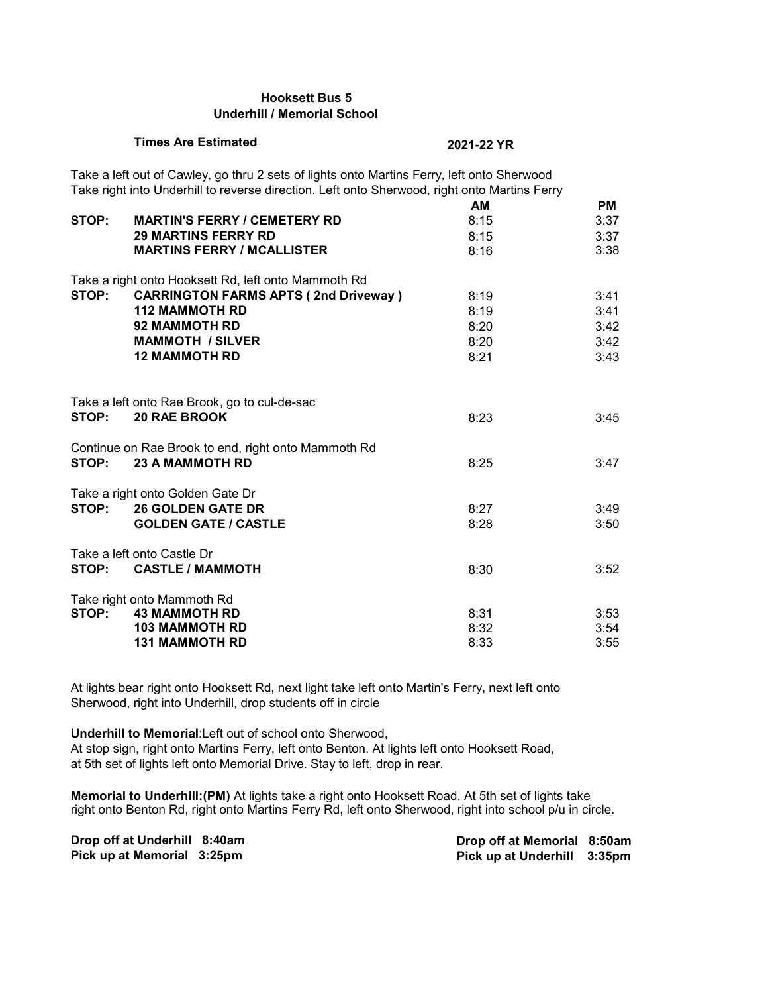# **Hooksett Bus 5 Underhill / Memorial School**

# **Times Are Estimated 2021-22 YR**

Take a left out of Cawley, go thru 2 sets of lights onto Martins Ferry, left onto Sherwood Take right into Underhill to reverse direction. Left onto Sherwood, right onto Martins Ferry

|       |                                                     | AМ   | PM.  |
|-------|-----------------------------------------------------|------|------|
| STOP: | <b>MARTIN'S FERRY / CEMETERY RD</b>                 | 8:15 | 3:37 |
|       | <b>29 MARTINS FERRY RD</b>                          | 8:15 | 3:37 |
|       | <b>MARTINS FERRY / MCALLISTER</b>                   | 8:16 | 3:38 |
|       |                                                     |      |      |
|       | Take a right onto Hooksett Rd, left onto Mammoth Rd |      |      |
| STOP: | <b>CARRINGTON FARMS APTS (2nd Driveway)</b>         | 8:19 | 3:41 |
|       | <b>112 MAMMOTH RD</b>                               | 8:19 | 3:41 |
|       | <b>92 MAMMOTH RD</b>                                | 8:20 | 3:42 |
|       | <b>MAMMOTH / SILVER</b>                             | 8:20 | 3:42 |
|       | <b>12 MAMMOTH RD</b>                                | 8:21 | 3:43 |
|       |                                                     |      |      |
|       | Take a left onto Rae Brook, go to cul-de-sac        |      |      |
| STOP: | <b>20 RAE BROOK</b>                                 | 8:23 | 3:45 |
|       | Continue on Rae Brook to end, right onto Mammoth Rd |      |      |
| STOP: | <b>23 A MAMMOTH RD</b>                              | 8:25 | 3:47 |
|       |                                                     |      |      |
|       | Take a right onto Golden Gate Dr                    |      |      |
| STOP: | <b>26 GOLDEN GATE DR</b>                            | 8:27 | 3:49 |
|       | <b>GOLDEN GATE / CASTLE</b>                         | 8:28 | 3:50 |
|       |                                                     |      |      |
|       | Take a left onto Castle Dr                          |      |      |
|       | STOP: CASTLE / MAMMOTH                              | 8:30 | 3:52 |
|       | Take right onto Mammoth Rd                          |      |      |
|       | STOP: 43 MAMMOTH RD                                 | 8:31 | 3:53 |
|       | <b>103 MAMMOTH RD</b>                               | 8:32 | 3:54 |
|       | <b>131 MAMMOTH RD</b>                               | 8:33 | 3:55 |

At lights bear right onto Hooksett Rd, next light take left onto Martin's Ferry, next left onto Sherwood, right into Underhill, drop students off in circle

**Underhill to Memorial**:Left out of school onto Sherwood,

At stop sign, right onto Martins Ferry, left onto Benton. At lights left onto Hooksett Road, at 5th set of lights left onto Memorial Drive. Stay to left, drop in rear.

**Memorial to Underhill:(PM)** At lights take a right onto Hooksett Road. At 5th set of lights take right onto Benton Rd, right onto Martins Ferry Rd, left onto Sherwood, right into school p/u in circle.

**Pick up at Memorial 3:25pm** 

**Drop off at Underhill 8:40am**<br> **Pick up at Memorial 3:25pm**<br> **Drop off at Memorial 3:35pm**<br>
Pick up at Underhill 3:35pm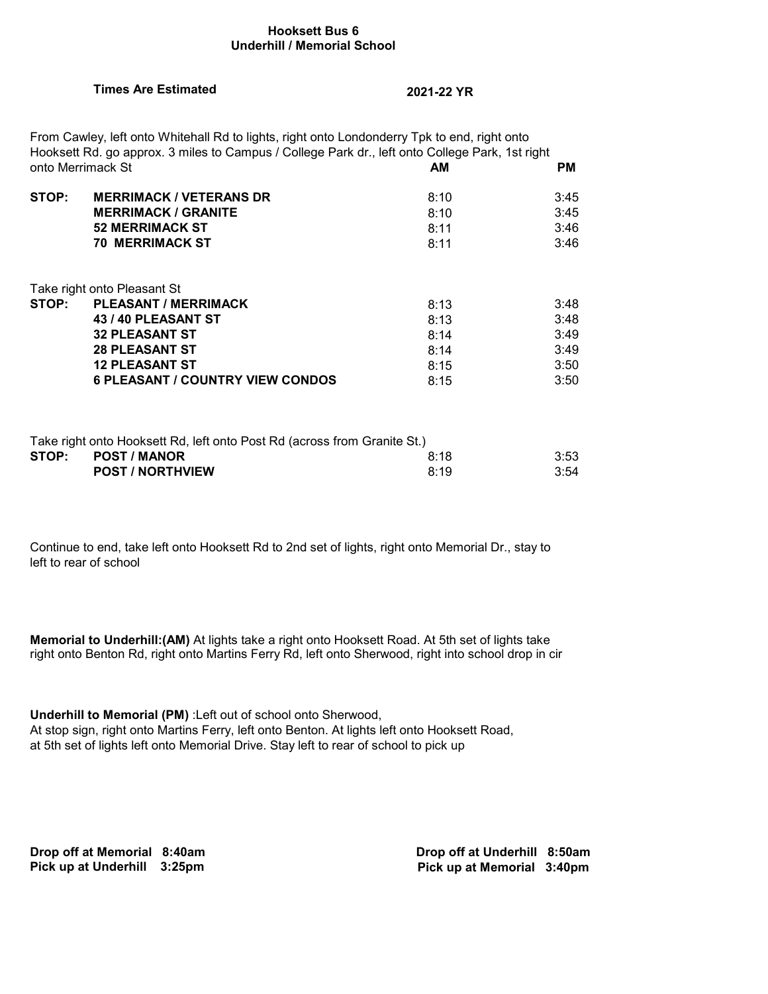#### **Hooksett Bus 6 Underhill / Memorial School**

### **Times Are Estimated 2021-22 YR**

| From Cawley, left onto Whitehall Rd to lights, right onto Londonderry Tpk to end, right onto<br>Hooksett Rd. go approx. 3 miles to Campus / College Park dr., left onto College Park, 1st right |                                         |      |           |
|-------------------------------------------------------------------------------------------------------------------------------------------------------------------------------------------------|-----------------------------------------|------|-----------|
| onto Merrimack St                                                                                                                                                                               |                                         | АM   | <b>PM</b> |
| STOP:                                                                                                                                                                                           | <b>MERRIMACK / VETERANS DR</b>          | 8:10 | 3:45      |
|                                                                                                                                                                                                 | <b>MERRIMACK / GRANITE</b>              | 8:10 | 3:45      |
|                                                                                                                                                                                                 | <b>52 MERRIMACK ST</b>                  | 8:11 | 3:46      |
|                                                                                                                                                                                                 | <b>70 MERRIMACK ST</b>                  | 8:11 | 3:46      |
|                                                                                                                                                                                                 | Take right onto Pleasant St             |      |           |
| STOP:                                                                                                                                                                                           | <b>PLEASANT / MERRIMACK</b>             | 8:13 | 3:48      |
|                                                                                                                                                                                                 | <b>43/40 PLEASANT ST</b>                | 8:13 | 3:48      |
|                                                                                                                                                                                                 | <b>32 PLEASANT ST</b>                   | 8:14 | 3:49      |
|                                                                                                                                                                                                 | <b>28 PLEASANT ST</b>                   | 8:14 | 3:49      |
|                                                                                                                                                                                                 | <b>12 PLEASANT ST</b>                   | 8:15 | 3:50      |
|                                                                                                                                                                                                 | <b>6 PLEASANT / COUNTRY VIEW CONDOS</b> | 8:15 | 3:50      |
|                                                                                                                                                                                                 |                                         |      |           |
|                                                                                                                                                                                                 |                                         |      |           |
|                                                                                                                                                                                                 |                                         |      |           |

| Take right onto Hooksett Rd, left onto Post Rd (across from Granite St.) |      |      |
|--------------------------------------------------------------------------|------|------|
| STOP: POST/MANOR                                                         | 8.18 | 3:53 |
| <b>POST / NORTHVIEW</b>                                                  | 8:19 | 3:54 |

Continue to end, take left onto Hooksett Rd to 2nd set of lights, right onto Memorial Dr., stay to left to rear of school

**Memorial to Underhill:(AM)** At lights take a right onto Hooksett Road. At 5th set of lights take right onto Benton Rd, right onto Martins Ferry Rd, left onto Sherwood, right into school drop in cir

**Underhill to Memorial (PM)** :Left out of school onto Sherwood, At stop sign, right onto Martins Ferry, left onto Benton. At lights left onto Hooksett Road, at 5th set of lights left onto Memorial Drive. Stay left to rear of school to pick up

**Drop off at Memorial 8:40am Drop off at Underhill 8:50am Pick up at Underhill 3:25pm**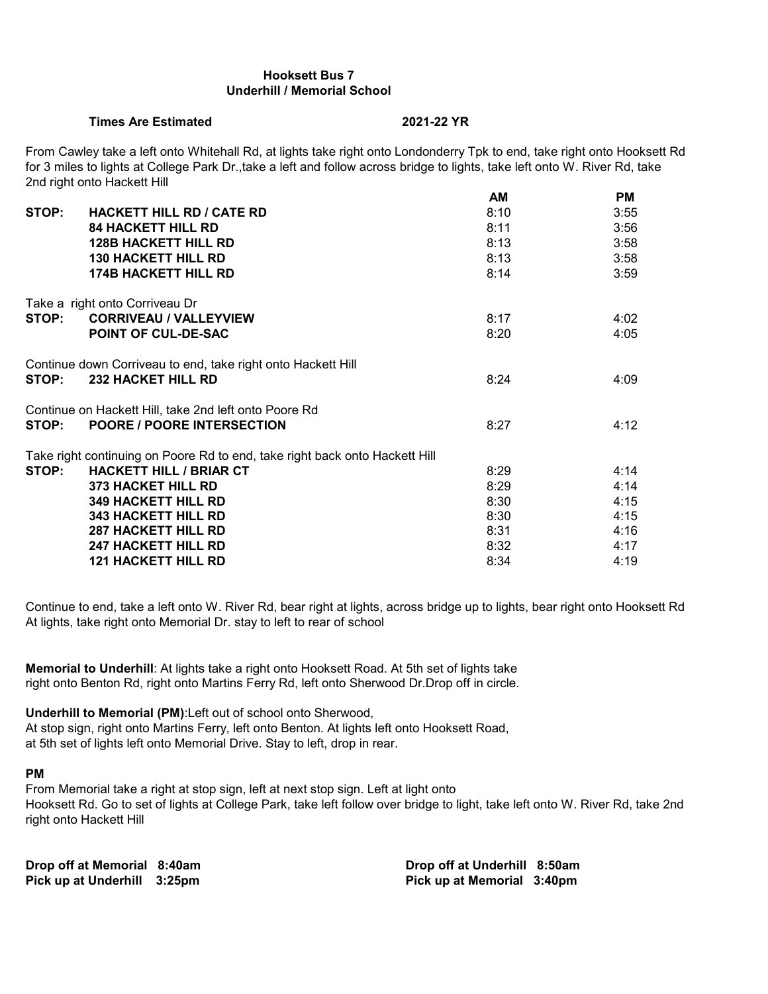#### **Hooksett Bus 7 Underhill / Memorial School**

# **Times Are Estimated 2021-22 YR**

From Cawley take a left onto Whitehall Rd, at lights take right onto Londonderry Tpk to end, take right onto Hooksett Rd for 3 miles to lights at College Park Dr.,take a left and follow across bridge to lights, take left onto W. River Rd, take 2nd right onto Hackett Hill

|       |                                                                             | AМ   | PМ   |
|-------|-----------------------------------------------------------------------------|------|------|
| STOP: | <b>HACKETT HILL RD / CATE RD</b>                                            | 8:10 | 3:55 |
|       | <b>84 HACKETT HILL RD</b>                                                   | 8:11 | 3:56 |
|       | <b>128B HACKETT HILL RD</b>                                                 | 8:13 | 3:58 |
|       | <b>130 HACKETT HILL RD</b>                                                  | 8:13 | 3:58 |
|       | <b>174B HACKETT HILL RD</b>                                                 | 8:14 | 3:59 |
|       | Take a right onto Corriveau Dr                                              |      |      |
| STOP: | <b>CORRIVEAU / VALLEYVIEW</b>                                               | 8:17 | 4:02 |
|       | <b>POINT OF CUL-DE-SAC</b>                                                  | 8:20 | 4:05 |
|       | Continue down Corriveau to end, take right onto Hackett Hill                |      |      |
| STOP: | <b>232 HACKET HILL RD</b>                                                   | 8:24 | 4:09 |
|       | Continue on Hackett Hill, take 2nd left onto Poore Rd                       |      |      |
| STOP: | <b>POORE / POORE INTERSECTION</b>                                           | 8:27 | 4:12 |
|       | Take right continuing on Poore Rd to end, take right back onto Hackett Hill |      |      |
| STOP: | <b>HACKETT HILL / BRIAR CT</b>                                              | 8:29 | 4:14 |
|       | <b>373 HACKET HILL RD</b>                                                   | 8:29 | 4:14 |
|       | <b>349 HACKETT HILL RD</b>                                                  | 8:30 | 4:15 |
|       | <b>343 HACKETT HILL RD</b>                                                  | 8:30 | 4:15 |
|       | <b>287 HACKETT HILL RD</b>                                                  | 8:31 | 4:16 |
|       | <b>247 HACKETT HILL RD</b>                                                  | 8:32 | 4:17 |
|       | <b>121 HACKETT HILL RD</b>                                                  | 8:34 | 4:19 |

Continue to end, take a left onto W. River Rd, bear right at lights, across bridge up to lights, bear right onto Hooksett Rd At lights, take right onto Memorial Dr. stay to left to rear of school

**Memorial to Underhill**: At lights take a right onto Hooksett Road. At 5th set of lights take right onto Benton Rd, right onto Martins Ferry Rd, left onto Sherwood Dr.Drop off in circle.

**Underhill to Memorial (PM)**:Left out of school onto Sherwood, At stop sign, right onto Martins Ferry, left onto Benton. At lights left onto Hooksett Road,

at 5th set of lights left onto Memorial Drive. Stay to left, drop in rear.

# **PM**

From Memorial take a right at stop sign, left at next stop sign. Left at light onto Hooksett Rd. Go to set of lights at College Park, take left follow over bridge to light, take left onto W. River Rd, take 2nd right onto Hackett Hill

**Drop off at Memorial 8:40am Drop off at Underhill 8:50am Pick up at Underhill 3:25pm Pick up at Memorial 3:40pm**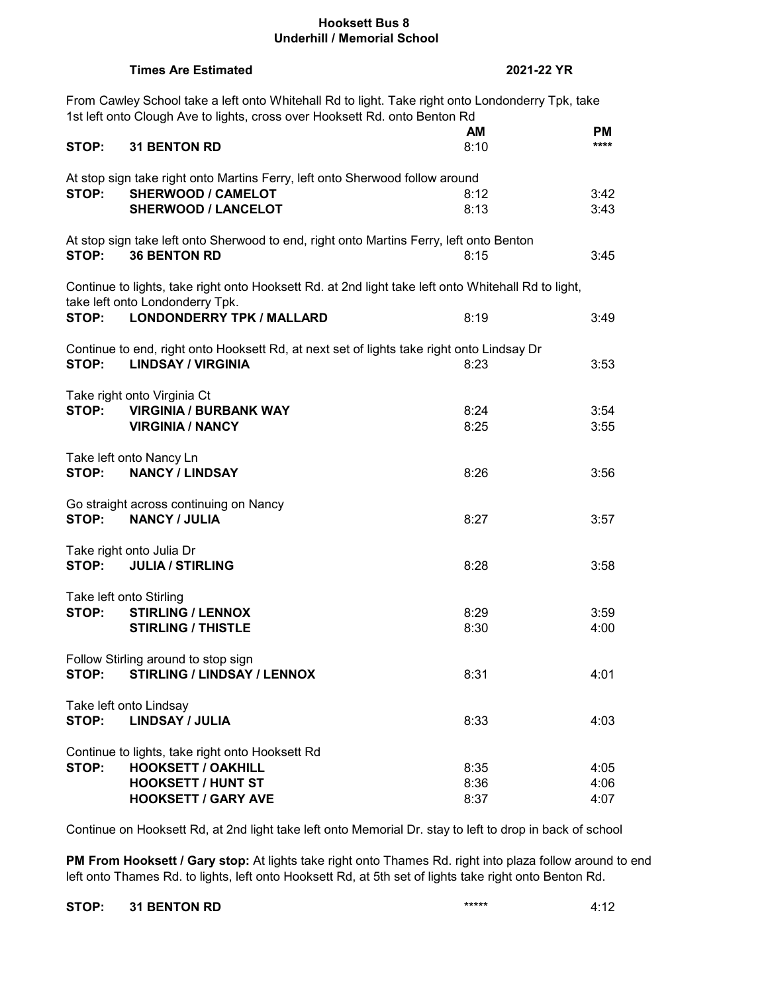### **Hooksett Bus 8 Underhill / Memorial School**

|                                  | <b>Times Are Estimated</b>                                                                                                                                                     | 2021-22 YR           |                      |
|----------------------------------|--------------------------------------------------------------------------------------------------------------------------------------------------------------------------------|----------------------|----------------------|
|                                  | From Cawley School take a left onto Whitehall Rd to light. Take right onto Londonderry Tpk, take<br>1st left onto Clough Ave to lights, cross over Hooksett Rd. onto Benton Rd |                      |                      |
| STOP:                            | <b>31 BENTON RD</b>                                                                                                                                                            | AM<br>8:10           | PM.<br>****          |
| STOP:                            | At stop sign take right onto Martins Ferry, left onto Sherwood follow around<br><b>SHERWOOD / CAMELOT</b><br><b>SHERWOOD / LANCELOT</b>                                        | 8:12<br>8:13         | 3:42<br>3:43         |
| STOP:                            | At stop sign take left onto Sherwood to end, right onto Martins Ferry, left onto Benton<br><b>36 BENTON RD</b>                                                                 | 8:15                 | 3:45                 |
| STOP:                            | Continue to lights, take right onto Hooksett Rd. at 2nd light take left onto Whitehall Rd to light,<br>take left onto Londonderry Tpk.<br><b>LONDONDERRY TPK / MALLARD</b>     | 8:19                 | 3:49                 |
| STOP:                            | Continue to end, right onto Hooksett Rd, at next set of lights take right onto Lindsay Dr<br><b>LINDSAY / VIRGINIA</b>                                                         | 8:23                 | 3:53                 |
| STOP:                            | Take right onto Virginia Ct<br><b>VIRGINIA / BURBANK WAY</b><br><b>VIRGINIA / NANCY</b>                                                                                        | 8:24<br>8:25         | 3:54<br>3:55         |
| STOP:                            | Take left onto Nancy Ln<br><b>NANCY / LINDSAY</b>                                                                                                                              | 8:26                 | 3:56                 |
| STOP:                            | Go straight across continuing on Nancy<br><b>NANCY / JULIA</b>                                                                                                                 | 8:27                 | 3:57                 |
| STOP:                            | Take right onto Julia Dr<br><b>JULIA / STIRLING</b>                                                                                                                            | 8:28                 | 3:58                 |
| Take left onto Stirling<br>STOP: | <b>STIRLING / LENNOX</b><br><b>STIRLING / THISTLE</b>                                                                                                                          | 8:29<br>8:30         | 3:59<br>4:00         |
| STOP:                            | Follow Stirling around to stop sign<br><b>STIRLING / LINDSAY / LENNOX</b>                                                                                                      | 8:31                 | 4:01                 |
| STOP:                            | Take left onto Lindsay<br><b>LINDSAY / JULIA</b>                                                                                                                               | 8:33                 | 4:03                 |
| STOP:                            | Continue to lights, take right onto Hooksett Rd<br><b>HOOKSETT / OAKHILL</b><br><b>HOOKSETT / HUNT ST</b><br><b>HOOKSETT / GARY AVE</b>                                        | 8:35<br>8:36<br>8:37 | 4:05<br>4:06<br>4:07 |

Continue on Hooksett Rd, at 2nd light take left onto Memorial Dr. stay to left to drop in back of school

**PM From Hooksett / Gary stop:** At lights take right onto Thames Rd. right into plaza follow around to end left onto Thames Rd. to lights, left onto Hooksett Rd, at 5th set of lights take right onto Benton Rd.

**STOP: 31 BENTON RD**  $4:12$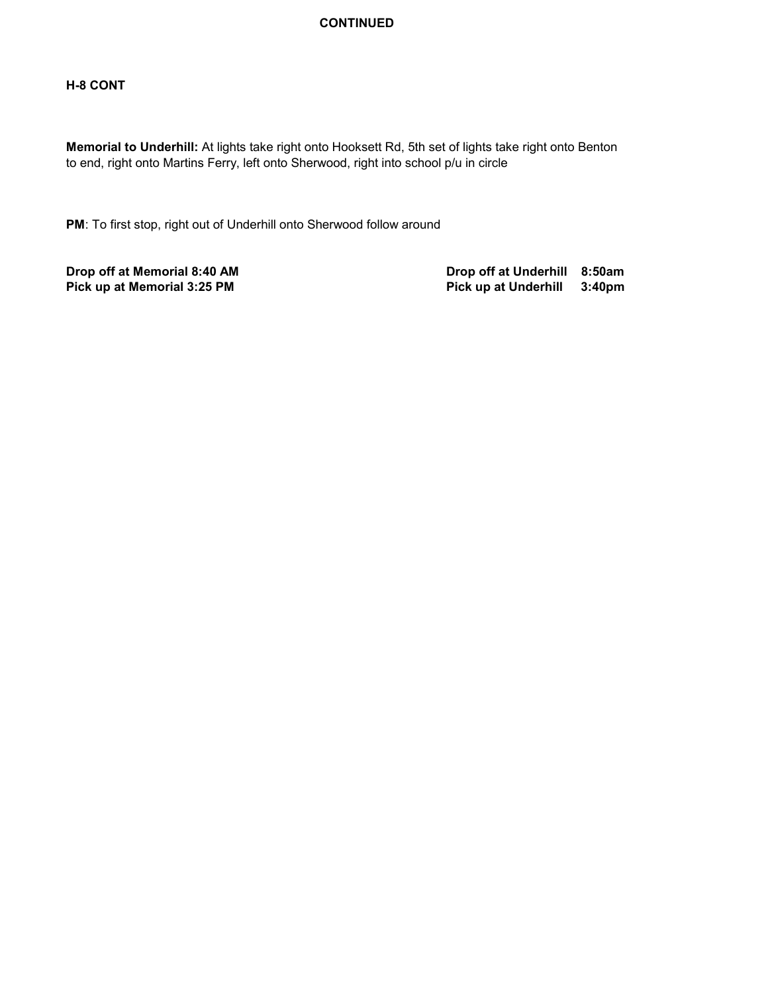# **CONTINUED**

# **H-8 CONT**

**Memorial to Underhill:** At lights take right onto Hooksett Rd, 5th set of lights take right onto Benton to end, right onto Martins Ferry, left onto Sherwood, right into school p/u in circle

**PM**: To first stop, right out of Underhill onto Sherwood follow around

**Drop off at Memorial 8:40 AM Drop off at Underhill 8:50am Pick up at Memorial 3:25 PM**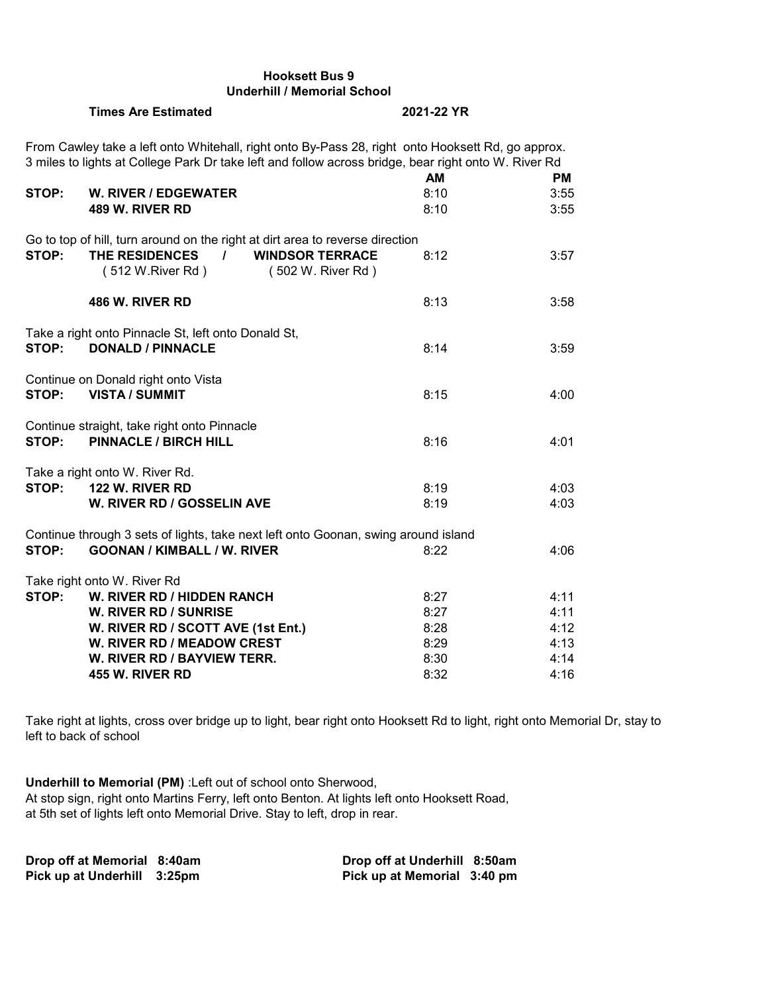### **Hooksett Bus 9 Underhill / Memorial School**

|       | <b>Times Are Estimated</b>                                                                                                                                                                                | 2021-22 YR |           |
|-------|-----------------------------------------------------------------------------------------------------------------------------------------------------------------------------------------------------------|------------|-----------|
|       | From Cawley take a left onto Whitehall, right onto By-Pass 28, right onto Hooksett Rd, go approx.<br>3 miles to lights at College Park Dr take left and follow across bridge, bear right onto W. River Rd |            |           |
|       |                                                                                                                                                                                                           | <b>AM</b>  | <b>PM</b> |
| STOP: | <b>W. RIVER / EDGEWATER</b>                                                                                                                                                                               | 8:10       | 3:55      |
|       | 489 W. RIVER RD                                                                                                                                                                                           | 8:10       | 3:55      |
| STOP: | Go to top of hill, turn around on the right at dirt area to reverse direction<br>THE RESIDENCES<br><b>WINDSOR TERRACE</b><br>$\prime$<br>(512 W.River Rd)<br>(502 W. River Rd)                            | 8:12       | 3:57      |
|       | 486 W. RIVER RD                                                                                                                                                                                           | 8:13       | 3:58      |
| STOP: | Take a right onto Pinnacle St, left onto Donald St,<br><b>DONALD / PINNACLE</b>                                                                                                                           | 8:14       | 3:59      |
|       | Continue on Donald right onto Vista                                                                                                                                                                       |            |           |
| STOP: | <b>VISTA / SUMMIT</b>                                                                                                                                                                                     | 8:15       | 4:00      |
| STOP: | Continue straight, take right onto Pinnacle<br><b>PINNACLE / BIRCH HILL</b>                                                                                                                               | 8:16       | 4:01      |
|       | Take a right onto W. River Rd.                                                                                                                                                                            |            |           |
| STOP: | 122 W. RIVER RD                                                                                                                                                                                           | 8:19       | 4:03      |
|       | W. RIVER RD / GOSSELIN AVE                                                                                                                                                                                | 8:19       | 4:03      |
|       | Continue through 3 sets of lights, take next left onto Goonan, swing around island                                                                                                                        |            |           |
| STOP: | <b>GOONAN / KIMBALL / W. RIVER</b>                                                                                                                                                                        | 8:22       | 4:06      |
|       | Take right onto W. River Rd                                                                                                                                                                               |            |           |
| STOP: | W. RIVER RD / HIDDEN RANCH                                                                                                                                                                                | 8:27       | 4:11      |
|       | W. RIVER RD / SUNRISE                                                                                                                                                                                     | 8:27       | 4:11      |
|       | W. RIVER RD / SCOTT AVE (1st Ent.)                                                                                                                                                                        | 8:28       | 4:12      |
|       | W. RIVER RD / MEADOW CREST                                                                                                                                                                                | 8:29       | 4:13      |
|       | W. RIVER RD / BAYVIEW TERR.                                                                                                                                                                               | 8:30       | 4:14      |

Take right at lights, cross over bridge up to light, bear right onto Hooksett Rd to light, right onto Memorial Dr, stay to left to back of school

**W. RIVER RD / BAYVIEW TERR.** 8:30 4:14<br>455 W. RIVER RD 8:32 4:16

**Underhill to Memorial (PM)** :Left out of school onto Sherwood, At stop sign, right onto Martins Ferry, left onto Benton. At lights left onto Hooksett Road, at 5th set of lights left onto Memorial Drive. Stay to left, drop in rear.

**455 W. RIVER RD** 

| Drop off at Memorial 8:40am | Drop off at Underhill 8:50am |  |
|-----------------------------|------------------------------|--|
| Pick up at Underhill 3:25pm | Pick up at Memorial 3:40 pm  |  |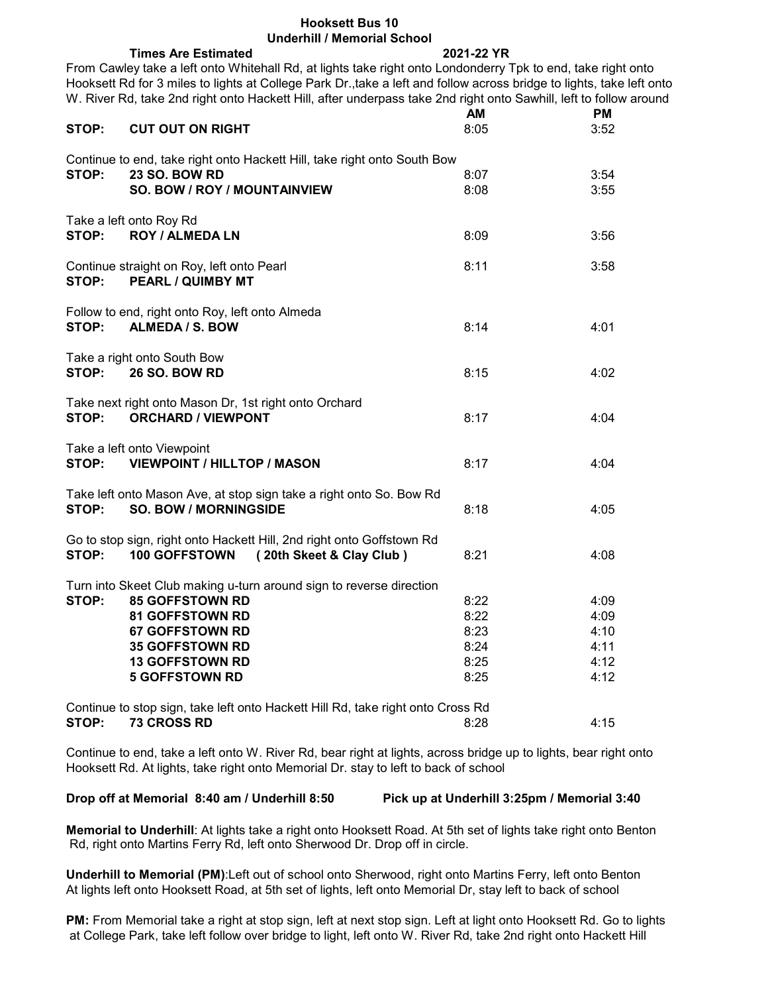#### **Hooksett Bus 10 Underhill / Memorial School**

**Times Are Estimated 2021-22 YR**

**AM PM**

From Cawley take a left onto Whitehall Rd, at lights take right onto Londonderry Tpk to end, take right onto Hooksett Rd for 3 miles to lights at College Park Dr.,take a left and follow across bridge to lights, take left onto W. River Rd, take 2nd right onto Hackett Hill, after underpass take 2nd right onto Sawhill, left to follow around<br>**AM** 

| STOP: | <b>CUT OUT ON RIGHT</b>                                                                                                                                                                                                 | 8:05                                         | 3:52                                         |
|-------|-------------------------------------------------------------------------------------------------------------------------------------------------------------------------------------------------------------------------|----------------------------------------------|----------------------------------------------|
| STOP: | Continue to end, take right onto Hackett Hill, take right onto South Bow<br><b>23 SO. BOW RD</b><br>SO. BOW / ROY / MOUNTAINVIEW                                                                                        | 8:07<br>8:08                                 | 3:54<br>3:55                                 |
| STOP: | Take a left onto Roy Rd<br><b>ROY / ALMEDA LN</b>                                                                                                                                                                       | 8:09                                         | 3:56                                         |
| STOP: | Continue straight on Roy, left onto Pearl<br><b>PEARL / QUIMBY MT</b>                                                                                                                                                   | 8:11                                         | 3:58                                         |
| STOP: | Follow to end, right onto Roy, left onto Almeda<br><b>ALMEDA / S. BOW</b>                                                                                                                                               | 8:14                                         | 4:01                                         |
| STOP: | Take a right onto South Bow<br><b>26 SO. BOW RD</b>                                                                                                                                                                     | 8:15                                         | 4:02                                         |
| STOP: | Take next right onto Mason Dr, 1st right onto Orchard<br><b>ORCHARD / VIEWPONT</b>                                                                                                                                      | 8:17                                         | 4:04                                         |
| STOP: | Take a left onto Viewpoint<br><b>VIEWPOINT / HILLTOP / MASON</b>                                                                                                                                                        | 8:17                                         | 4:04                                         |
| STOP: | Take left onto Mason Ave, at stop sign take a right onto So. Bow Rd<br><b>SO. BOW / MORNINGSIDE</b>                                                                                                                     | 8:18                                         | 4:05                                         |
| STOP: | Go to stop sign, right onto Hackett Hill, 2nd right onto Goffstown Rd<br>100 GOFFSTOWN<br>(20th Skeet & Clay Club)                                                                                                      | 8:21                                         | 4:08                                         |
| STOP: | Turn into Skeet Club making u-turn around sign to reverse direction<br><b>85 GOFFSTOWN RD</b><br>81 GOFFSTOWN RD<br><b>67 GOFFSTOWN RD</b><br><b>35 GOFFSTOWN RD</b><br><b>13 GOFFSTOWN RD</b><br><b>5 GOFFSTOWN RD</b> | 8:22<br>8:22<br>8:23<br>8:24<br>8:25<br>8:25 | 4:09<br>4:09<br>4:10<br>4:11<br>4:12<br>4:12 |
| STOP: | Continue to stop sign, take left onto Hackett Hill Rd, take right onto Cross Rd<br><b>73 CROSS RD</b>                                                                                                                   | 8:28                                         | 4:15                                         |

Continue to end, take a left onto W. River Rd, bear right at lights, across bridge up to lights, bear right onto Hooksett Rd. At lights, take right onto Memorial Dr. stay to left to back of school

**Drop off at Memorial 8:40 am / Underhill 8:50 Pick up at Underhill 3:25pm / Memorial 3:40**

**Memorial to Underhill**: At lights take a right onto Hooksett Road. At 5th set of lights take right onto Benton Rd, right onto Martins Ferry Rd, left onto Sherwood Dr. Drop off in circle.

**Underhill to Memorial (PM)**:Left out of school onto Sherwood, right onto Martins Ferry, left onto Benton At lights left onto Hooksett Road, at 5th set of lights, left onto Memorial Dr, stay left to back of school

**PM:** From Memorial take a right at stop sign, left at next stop sign. Left at light onto Hooksett Rd. Go to lights at College Park, take left follow over bridge to light, left onto W. River Rd, take 2nd right onto Hackett Hill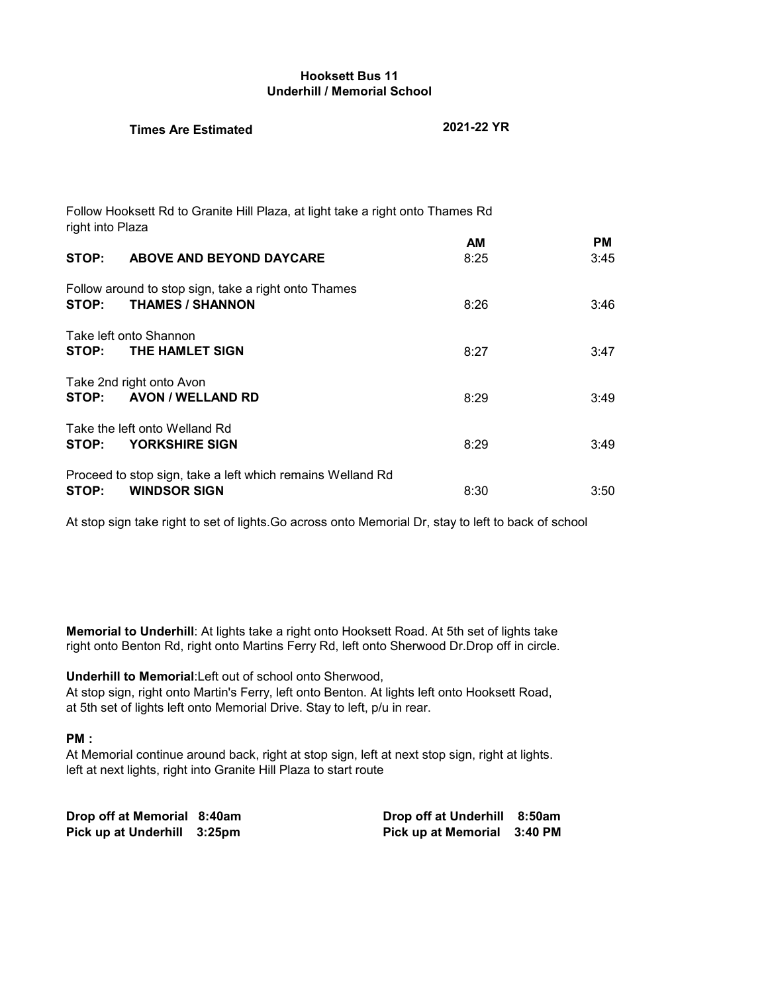# **Hooksett Bus 11 Underhill / Memorial School**

# **Times Are Estimated 2021-22 YR**

| right into Plaza | Follow Hooksett Rd to Granite Hill Plaza, at light take a right onto Thames Rd    |            |                   |
|------------------|-----------------------------------------------------------------------------------|------------|-------------------|
|                  | STOP: ABOVE AND BEYOND DAYCARE                                                    | AM<br>8:25 | <b>PM</b><br>3:45 |
| STOP:            | Follow around to stop sign, take a right onto Thames<br><b>THAMES / SHANNON</b>   | 8:26       | 3:46              |
| STOP:            | Take left onto Shannon<br><b>THE HAMLET SIGN</b>                                  | 8:27       | 3:47              |
| STOP:            | Take 2nd right onto Avon<br><b>AVON / WELLAND RD</b>                              | 8:29       | 3:49              |
| STOP:            | Take the left onto Welland Rd<br><b>YORKSHIRE SIGN</b>                            | 8:29       | 3:49              |
| STOP:            | Proceed to stop sign, take a left which remains Welland Rd<br><b>WINDSOR SIGN</b> | 8:30       | 3:50              |

At stop sign take right to set of lights.Go across onto Memorial Dr, stay to left to back of school

**Memorial to Underhill**: At lights take a right onto Hooksett Road. At 5th set of lights take right onto Benton Rd, right onto Martins Ferry Rd, left onto Sherwood Dr.Drop off in circle.

**Underhill to Memorial**:Left out of school onto Sherwood,

At stop sign, right onto Martin's Ferry, left onto Benton. At lights left onto Hooksett Road, at 5th set of lights left onto Memorial Drive. Stay to left, p/u in rear.

# **PM :**

At Memorial continue around back, right at stop sign, left at next stop sign, right at lights. left at next lights, right into Granite Hill Plaza to start route

**Drop off at Memorial 8:40am Drop off at Underhill 8:50am Pick up at Underhill 3:25pm Pick up at Memorial 3:40 PM**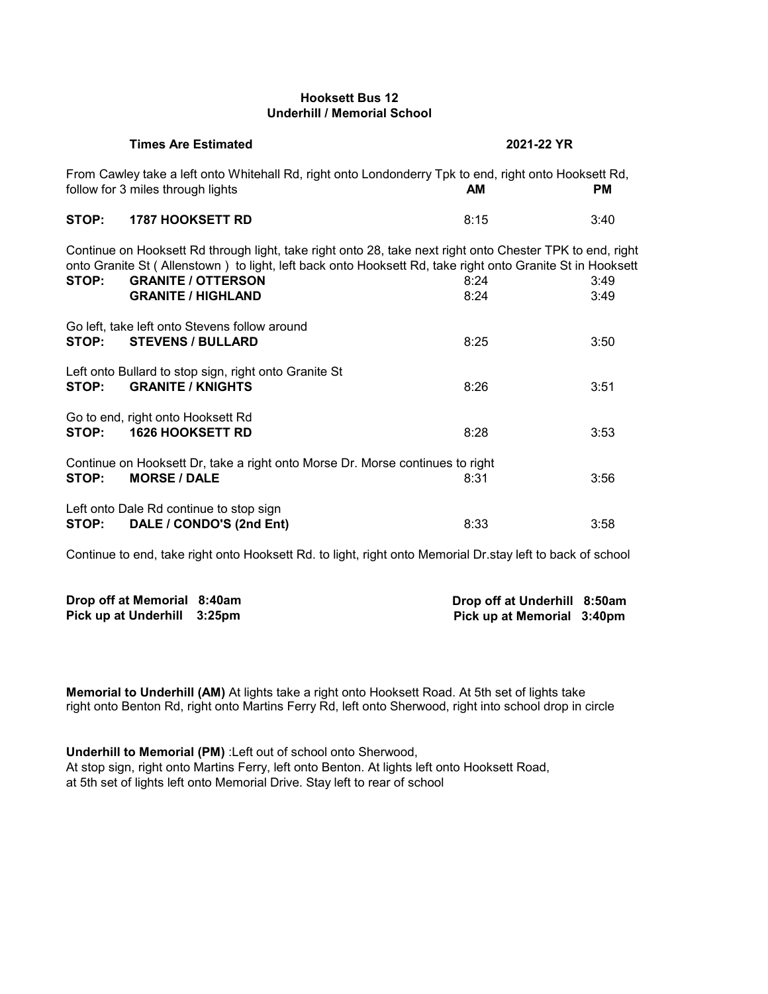### **Hooksett Bus 12 Underhill / Memorial School**

|       | <b>Times Are Estimated</b>                                                                                                                                                                                                                                                       | 2021-22 YR   |              |
|-------|----------------------------------------------------------------------------------------------------------------------------------------------------------------------------------------------------------------------------------------------------------------------------------|--------------|--------------|
|       | From Cawley take a left onto Whitehall Rd, right onto Londonderry Tpk to end, right onto Hooksett Rd,<br>follow for 3 miles through lights                                                                                                                                       | AM           | <b>PM</b>    |
| STOP: | <b>1787 HOOKSETT RD</b>                                                                                                                                                                                                                                                          | 8:15         | 3:40         |
| STOP: | Continue on Hooksett Rd through light, take right onto 28, take next right onto Chester TPK to end, right<br>onto Granite St (Allenstown) to light, left back onto Hooksett Rd, take right onto Granite St in Hooksett<br><b>GRANITE / OTTERSON</b><br><b>GRANITE / HIGHLAND</b> | 8:24<br>8:24 | 3:49<br>3:49 |
| STOP: | Go left, take left onto Stevens follow around<br><b>STEVENS / BULLARD</b>                                                                                                                                                                                                        | 8:25         | 3:50         |
| STOP: | Left onto Bullard to stop sign, right onto Granite St<br><b>GRANITE / KNIGHTS</b>                                                                                                                                                                                                | 8:26         | 3:51         |
| STOP: | Go to end, right onto Hooksett Rd<br><b>1626 HOOKSETT RD</b>                                                                                                                                                                                                                     | 8:28         | 3:53         |
| STOP: | Continue on Hooksett Dr, take a right onto Morse Dr. Morse continues to right<br><b>MORSE / DALE</b>                                                                                                                                                                             | 8:31         | 3:56         |
| STOP: | Left onto Dale Rd continue to stop sign<br>DALE / CONDO'S (2nd Ent)                                                                                                                                                                                                              | 8:33         | 3:58         |

Continue to end, take right onto Hooksett Rd. to light, right onto Memorial Dr.stay left to back of school

**Drop off at Memorial 8:40am Drop off at Underhill 8:50am Pick up at Memorial 3:40pm** 

**Memorial to Underhill (AM)** At lights take a right onto Hooksett Road. At 5th set of lights take right onto Benton Rd, right onto Martins Ferry Rd, left onto Sherwood, right into school drop in circle

**Underhill to Memorial (PM)** :Left out of school onto Sherwood, At stop sign, right onto Martins Ferry, left onto Benton. At lights left onto Hooksett Road, at 5th set of lights left onto Memorial Drive. Stay left to rear of school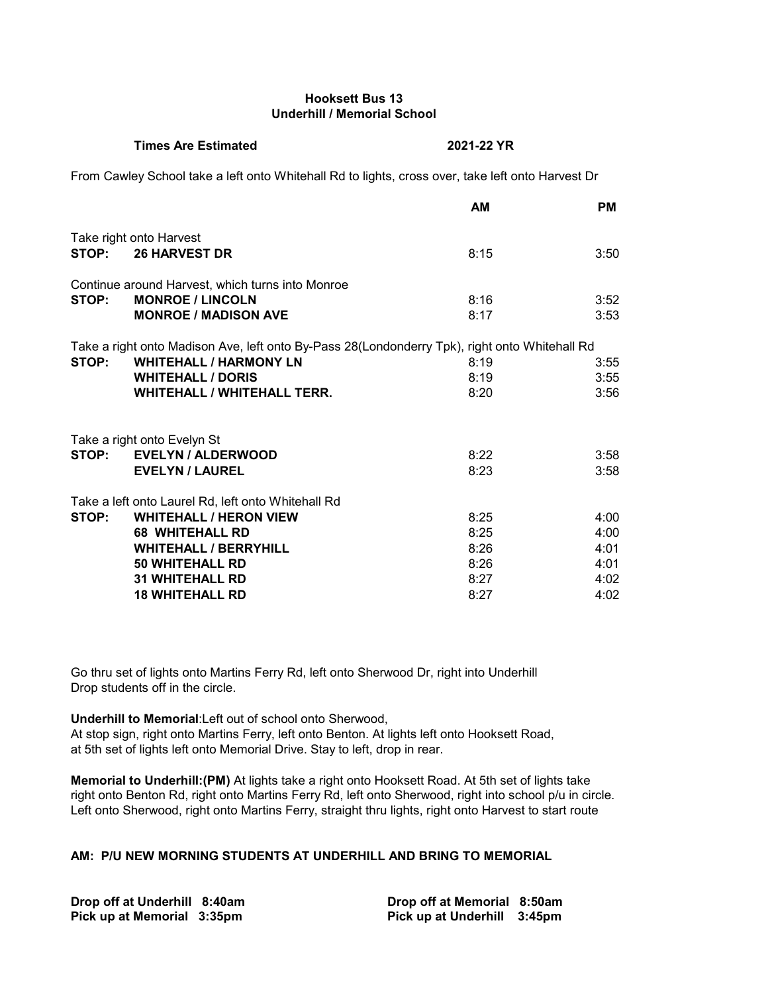# **Hooksett Bus 13 Underhill / Memorial School**

#### **Times Are Estimated 2021-22 YR**

From Cawley School take a left onto Whitehall Rd to lights, cross over, take left onto Harvest Dr

|       |                                                                                               | AМ   | PM.  |
|-------|-----------------------------------------------------------------------------------------------|------|------|
|       | Take right onto Harvest                                                                       |      |      |
|       | STOP: 26 HARVEST DR                                                                           | 8:15 | 3:50 |
|       | Continue around Harvest, which turns into Monroe                                              |      |      |
| STOP: | <b>MONROE / LINCOLN</b>                                                                       | 8:16 | 3:52 |
|       | <b>MONROE / MADISON AVE</b>                                                                   | 8:17 | 3:53 |
|       | Take a right onto Madison Ave, left onto By-Pass 28(Londonderry Tpk), right onto Whitehall Rd |      |      |
| STOP: | <b>WHITEHALL / HARMONY LN</b>                                                                 | 8:19 | 3:55 |
|       | <b>WHITEHALL / DORIS</b>                                                                      | 8:19 | 3:55 |
|       | <b>WHITEHALL / WHITEHALL TERR.</b>                                                            | 8:20 | 3:56 |
|       |                                                                                               |      |      |
|       | Take a right onto Evelyn St                                                                   |      |      |
| STOP: | <b>EVELYN / ALDERWOOD</b>                                                                     | 8:22 | 3:58 |
|       | <b>EVELYN / LAUREL</b>                                                                        | 8:23 | 3:58 |
|       | Take a left onto Laurel Rd, left onto Whitehall Rd                                            |      |      |
| STOP: | <b>WHITEHALL / HERON VIEW</b>                                                                 | 8:25 | 4:00 |
|       | <b>68 WHITEHALL RD</b>                                                                        | 8:25 | 4:00 |
|       | <b>WHITEHALL / BERRYHILL</b>                                                                  | 8:26 | 4:01 |
|       | <b>50 WHITEHALL RD</b>                                                                        | 8:26 | 4:01 |
|       | <b>31 WHITEHALL RD</b>                                                                        | 8:27 | 4:02 |
|       | <b>18 WHITEHALL RD</b>                                                                        | 8:27 | 4:02 |

Go thru set of lights onto Martins Ferry Rd, left onto Sherwood Dr, right into Underhill Drop students off in the circle.

**Underhill to Memorial**:Left out of school onto Sherwood, At stop sign, right onto Martins Ferry, left onto Benton. At lights left onto Hooksett Road, at 5th set of lights left onto Memorial Drive. Stay to left, drop in rear.

**Memorial to Underhill:(PM)** At lights take a right onto Hooksett Road. At 5th set of lights take right onto Benton Rd, right onto Martins Ferry Rd, left onto Sherwood, right into school p/u in circle. Left onto Sherwood, right onto Martins Ferry, straight thru lights, right onto Harvest to start route

# **AM: P/U NEW MORNING STUDENTS AT UNDERHILL AND BRING TO MEMORIAL**

**Pick up at Memorial 3:35pm Pick up at Underhill 3:45pm**

**Drop off at Underhill 8:40am Drop off at Memorial 8:50am**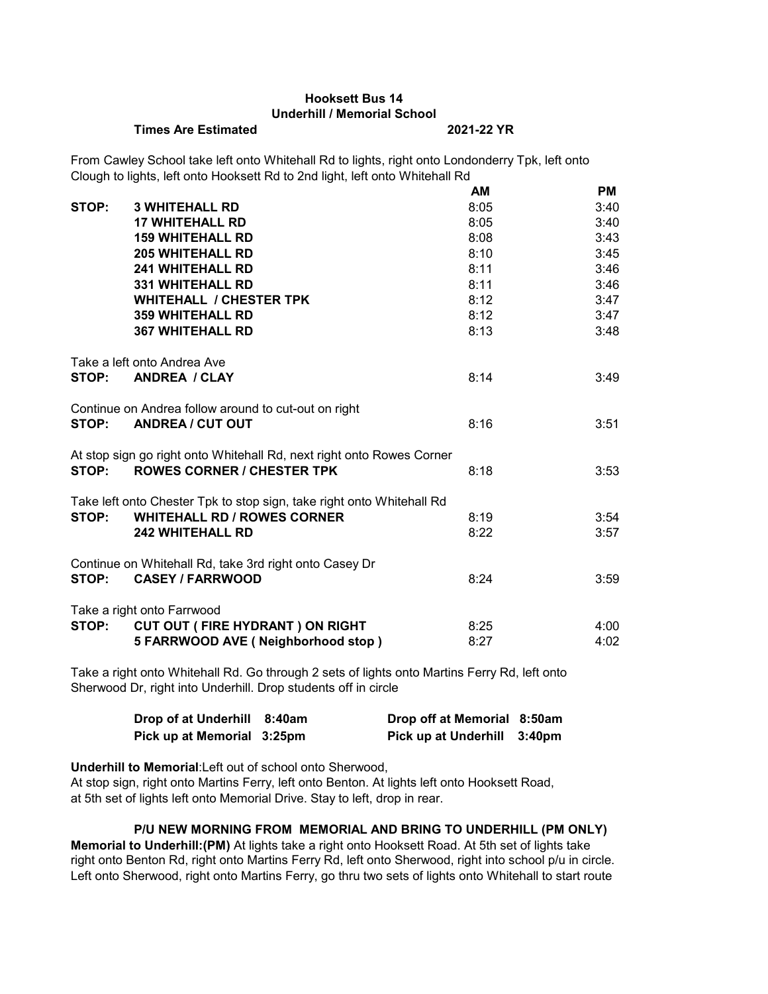# **Hooksett Bus 14 Underhill / Memorial School**

#### **Times Are Estimated 2021-22 YR**

From Cawley School take left onto Whitehall Rd to lights, right onto Londonderry Tpk, left onto Clough to lights, left onto Hooksett Rd to 2nd light, left onto Whitehall Rd

|       |                                                                       | AМ   | PM.  |
|-------|-----------------------------------------------------------------------|------|------|
| STOP: | <b>3 WHITEHALL RD</b>                                                 | 8:05 | 3:40 |
|       | <b>17 WHITEHALL RD</b>                                                | 8:05 | 3:40 |
|       | <b>159 WHITEHALL RD</b>                                               | 8:08 | 3:43 |
|       | <b>205 WHITEHALL RD</b>                                               | 8:10 | 3:45 |
|       | <b>241 WHITEHALL RD</b>                                               | 8:11 | 3:46 |
|       | <b>331 WHITEHALL RD</b>                                               | 8:11 | 3:46 |
|       | <b>WHITEHALL / CHESTER TPK</b>                                        | 8:12 | 3:47 |
|       | <b>359 WHITEHALL RD</b>                                               | 8:12 | 3:47 |
|       | <b>367 WHITEHALL RD</b>                                               | 8:13 | 3:48 |
|       |                                                                       |      |      |
|       | Take a left onto Andrea Ave                                           |      |      |
| STOP: | <b>ANDREA / CLAY</b>                                                  | 8:14 | 3:49 |
|       | Continue on Andrea follow around to cut-out on right                  |      |      |
| STOP: | <b>ANDREA / CUT OUT</b>                                               | 8:16 | 3:51 |
|       |                                                                       |      |      |
|       | At stop sign go right onto Whitehall Rd, next right onto Rowes Corner |      |      |
| STOP: | <b>ROWES CORNER / CHESTER TPK</b>                                     | 8:18 | 3:53 |
|       |                                                                       |      |      |
|       | Take left onto Chester Tpk to stop sign, take right onto Whitehall Rd |      |      |
| STOP: | <b>WHITEHALL RD / ROWES CORNER</b>                                    | 8:19 | 3:54 |
|       | <b>242 WHITEHALL RD</b>                                               | 8:22 | 3:57 |
|       |                                                                       |      |      |
|       | Continue on Whitehall Rd, take 3rd right onto Casey Dr                |      |      |
| STOP: | <b>CASEY / FARRWOOD</b>                                               | 8:24 | 3:59 |
|       |                                                                       |      |      |
|       | Take a right onto Farrwood                                            |      |      |
| STOP: | CUT OUT (FIRE HYDRANT) ON RIGHT                                       | 8:25 | 4:00 |
|       | 5 FARRWOOD AVE (Neighborhood stop)                                    | 8:27 | 4:02 |

Take a right onto Whitehall Rd. Go through 2 sets of lights onto Martins Ferry Rd, left onto Sherwood Dr, right into Underhill. Drop students off in circle

| Drop of at Underhill 8:40am | Drop off at Memorial 8:50am |  |
|-----------------------------|-----------------------------|--|
| Pick up at Memorial 3:25pm  | Pick up at Underhill 3:40pm |  |

**Underhill to Memorial**:Left out of school onto Sherwood,

At stop sign, right onto Martins Ferry, left onto Benton. At lights left onto Hooksett Road, at 5th set of lights left onto Memorial Drive. Stay to left, drop in rear.

# **P/U NEW MORNING FROM MEMORIAL AND BRING TO UNDERHILL (PM ONLY)**

**Memorial to Underhill:(PM)** At lights take a right onto Hooksett Road. At 5th set of lights take right onto Benton Rd, right onto Martins Ferry Rd, left onto Sherwood, right into school p/u in circle. Left onto Sherwood, right onto Martins Ferry, go thru two sets of lights onto Whitehall to start route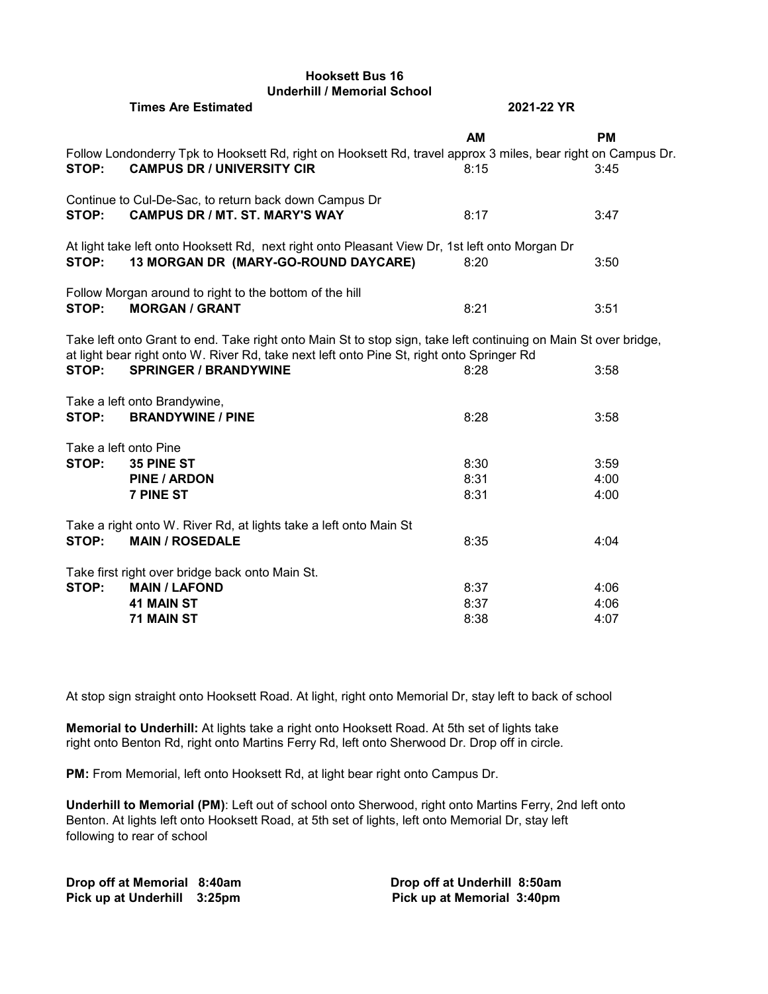# **Hooksett Bus 16 Underhill / Memorial School**

|                                | <b>Times Are Estimated</b>                                                                                                                                                                                                                   | 2021-22 YR           |                      |
|--------------------------------|----------------------------------------------------------------------------------------------------------------------------------------------------------------------------------------------------------------------------------------------|----------------------|----------------------|
| STOP:                          | Follow Londonderry Tpk to Hooksett Rd, right on Hooksett Rd, travel approx 3 miles, bear right on Campus Dr.<br><b>CAMPUS DR / UNIVERSITY CIR</b>                                                                                            | <b>AM</b><br>8:15    | <b>PM</b><br>3:45    |
| STOP:                          | Continue to Cul-De-Sac, to return back down Campus Dr<br><b>CAMPUS DR / MT. ST. MARY'S WAY</b>                                                                                                                                               | 8:17                 | 3:47                 |
| STOP:                          | At light take left onto Hooksett Rd, next right onto Pleasant View Dr, 1st left onto Morgan Dr<br>13 MORGAN DR (MARY-GO-ROUND DAYCARE)                                                                                                       | 8:20                 | 3:50                 |
| STOP:                          | Follow Morgan around to right to the bottom of the hill<br><b>MORGAN / GRANT</b>                                                                                                                                                             | 8:21                 | 3:51                 |
| STOP:                          | Take left onto Grant to end. Take right onto Main St to stop sign, take left continuing on Main St over bridge,<br>at light bear right onto W. River Rd, take next left onto Pine St, right onto Springer Rd<br><b>SPRINGER / BRANDYWINE</b> | 8:28                 | 3:58                 |
| STOP:                          | Take a left onto Brandywine,<br><b>BRANDYWINE / PINE</b>                                                                                                                                                                                     | 8:28                 | 3:58                 |
| Take a left onto Pine<br>STOP: | 35 PINE ST<br><b>PINE / ARDON</b><br><b>7 PINE ST</b>                                                                                                                                                                                        | 8:30<br>8:31<br>8:31 | 3:59<br>4:00<br>4:00 |
| STOP:                          | Take a right onto W. River Rd, at lights take a left onto Main St<br><b>MAIN / ROSEDALE</b>                                                                                                                                                  | 8:35                 | 4:04                 |
| STOP:                          | Take first right over bridge back onto Main St.<br><b>MAIN / LAFOND</b><br><b>41 MAIN ST</b><br><b>71 MAIN ST</b>                                                                                                                            | 8:37<br>8:37<br>8:38 | 4:06<br>4:06<br>4:07 |

At stop sign straight onto Hooksett Road. At light, right onto Memorial Dr, stay left to back of school

**Memorial to Underhill:** At lights take a right onto Hooksett Road. At 5th set of lights take right onto Benton Rd, right onto Martins Ferry Rd, left onto Sherwood Dr. Drop off in circle.

**PM:** From Memorial, left onto Hooksett Rd, at light bear right onto Campus Dr.

**Underhill to Memorial (PM)**: Left out of school onto Sherwood, right onto Martins Ferry, 2nd left onto Benton. At lights left onto Hooksett Road, at 5th set of lights, left onto Memorial Dr, stay left following to rear of school

**Drop off at Memorial 8:40am Drop off at Underhill 8:50am Pick up at Underhill 3:25pm Pick up at Memorial 3:40pm**